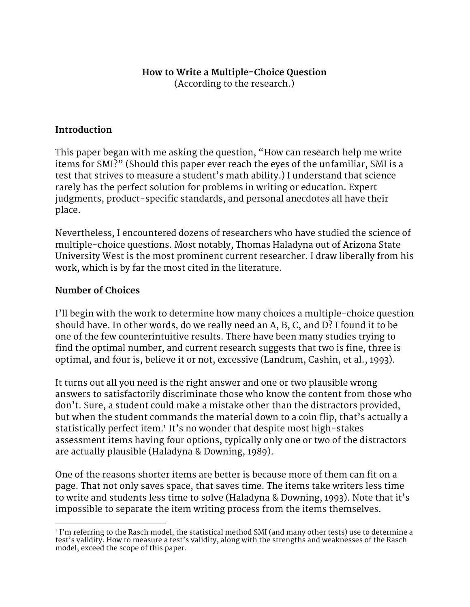# **How to Write a Multiple-Choice Question**

(According to the research.)

#### **Introduction**

This paper began with me asking the question, "How can research help me write items for SMI?" (Should this paper ever reach the eyes of the unfamiliar, SMI is a test that strives to measure a student's math ability.) I understand that science rarely has the perfect solution for problems in writing or education. Expert judgments, product-specific standards, and personal anecdotes all have their place.

Nevertheless, I encountered dozens of researchers who have studied the science of multiple-choice questions. Most notably, Thomas Haladyna out of Arizona State University West is the most prominent current researcher. I draw liberally from his work, which is by far the most cited in the literature.

#### **Number of Choices**

I'll begin with the work to determine how many choices a multiple-choice question should have. In other words, do we really need an A, B, C, and D? I found it to be one of the few counterintuitive results. There have been many studies trying to find the optimal number, and current research suggests that two is fine, three is optimal, and four is, believe it or not, excessive (Landrum, Cashin, et al., 1993).

It turns out all you need is the right answer and one or two plausible wrong answers to satisfactorily discriminate those who know the content from those who don't. Sure, a student could make a mistake other than the distractors provided, but when the student commands the material down to a coin flip, that's actually a statistically perfect item.<sup>1</sup> It's no wonder that despite most high-stakes assessment items having four options, typically only one or two of the distractors are actually plausible (Haladyna & Downing, 1989).

One of the reasons shorter items are better is because more of them can fit on a page. That not only saves space, that saves time. The items take writers less time to write and students less time to solve (Haladyna & Downing, 1993). Note that it's impossible to separate the item writing process from the items themselves.

 $^{\rm 1}$  I'm referring to the Rasch model, the statistical method SMI (and many other tests) use to determine a test's validity. How to measure a test's validity, along with the strengths and weaknesses of the Rasch model, exceed the scope of this paper.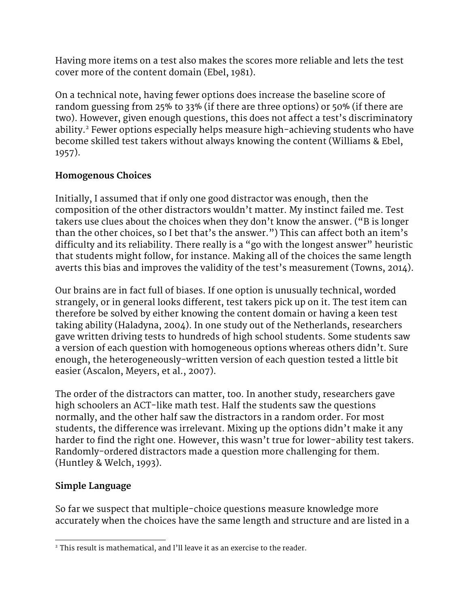Having more items on a test also makes the scores more reliable and lets the test cover more of the content domain (Ebel, 1981).

On a technical note, having fewer options does increase the baseline score of random guessing from 25% to 33% (if there are three options) or 50% (if there are two). However, given enough questions, this does not affect a test's discriminatory ability.<sup>2</sup> Fewer options especially helps measure high-achieving students who have become skilled test takers without always knowing the content (Williams & Ebel, 1957).

# **Homogenous Choices**

Initially, I assumed that if only one good distractor was enough, then the composition of the other distractors wouldn't matter. My instinct failed me. Test takers use clues about the choices when they don't know the answer. ("B is longer than the other choices, so I bet that's the answer.") This can affect both an item's difficulty and its reliability. There really is a "go with the longest answer" heuristic that students might follow, for instance. Making all of the choices the same length averts this bias and improves the validity of the test's measurement (Towns, 2014).

Our brains are in fact full of biases. If one option is unusually technical, worded strangely, or in general looks different, test takers pick up on it. The test item can therefore be solved by either knowing the content domain or having a keen test taking ability (Haladyna, 2004). In one study out of the Netherlands, researchers gave written driving tests to hundreds of high school students. Some students saw a version of each question with homogeneous options whereas others didn't. Sure enough, the heterogeneously-written version of each question tested a little bit easier (Ascalon, Meyers, et al., 2007).

The order of the distractors can matter, too. In another study, researchers gave high schoolers an ACT-like math test. Half the students saw the questions normally, and the other half saw the distractors in a random order. For most students, the difference was irrelevant. Mixing up the options didn't make it any harder to find the right one. However, this wasn't true for lower-ability test takers. Randomly-ordered distractors made a question more challenging for them. (Huntley & Welch, 1993).

# **Simple Language**

So far we suspect that multiple-choice questions measure knowledge more accurately when the choices have the same length and structure and are listed in a

<sup>&</sup>lt;sup>2</sup> This result is mathematical, and I'll leave it as an exercise to the reader.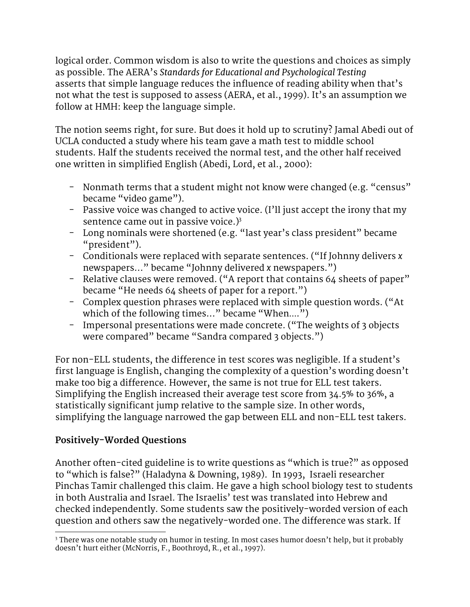logical order. Common wisdom is also to write the questions and choices as simply as possible. The AERA's *Standards for Educational and Psychological Testing* asserts that simple language reduces the influence of reading ability when that's not what the test is supposed to assess (AERA, et al., 1999). It's an assumption we follow at HMH: keep the language simple.

The notion seems right, for sure. But does it hold up to scrutiny? Jamal Abedi out of UCLA conducted a study where his team gave a math test to middle school students. Half the students received the normal test, and the other half received one written in simplified English (Abedi, Lord, et al., 2000):

- − Nonmath terms that a student might not know were changed (e.g. "census" became "video game").
- − Passive voice was changed to active voice. (I'll just accept the irony that my sentence came out in passive voice.) 3
- − Long nominals were shortened (e.g. "last year's class president" became "president").
- − Conditionals were replaced with separate sentences. ("If Johnny delivers *x* newspapers..." became "Johnny delivered *x* newspapers.")
- − Relative clauses were removed. ("A report that contains 64 sheets of paper" became "He needs 64 sheets of paper for a report.")
- − Complex question phrases were replaced with simple question words. ("At which of the following times..." became "When....")
- − Impersonal presentations were made concrete. ("The weights of 3 objects were compared" became "Sandra compared 3 objects.")

For non-ELL students, the difference in test scores was negligible. If a student's first language is English, changing the complexity of a question's wording doesn't make too big a difference. However, the same is not true for ELL test takers. Simplifying the English increased their average test score from 34.5% to 36%, a statistically significant jump relative to the sample size. In other words, simplifying the language narrowed the gap between ELL and non-ELL test takers.

# **Positively-Worded Questions**

Another often-cited guideline is to write questions as "which is true?" as opposed to "which is false?" (Haladyna & Downing, 1989). In 1993, Israeli researcher Pinchas Tamir challenged this claim. He gave a high school biology test to students in both Australia and Israel. The Israelis' test was translated into Hebrew and checked independently. Some students saw the positively-worded version of each question and others saw the negatively-worded one. The difference was stark. If

<sup>&</sup>lt;sup>3</sup> There was one notable study on humor in testing. In most cases humor doesn't help, but it probably doesn't hurt either (McNorris, F., Boothroyd, R., et al., 1997).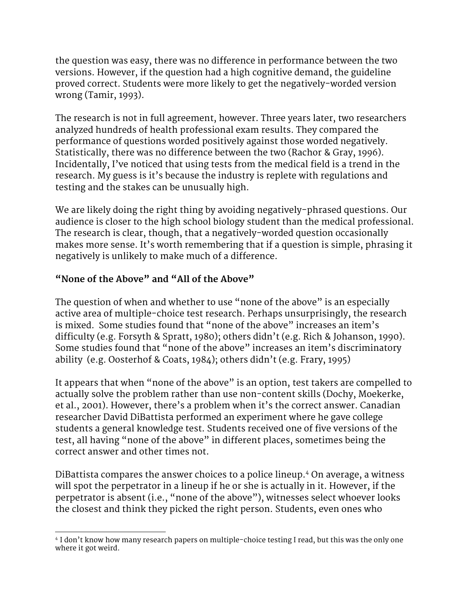the question was easy, there was no difference in performance between the two versions. However, if the question had a high cognitive demand, the guideline proved correct. Students were more likely to get the negatively-worded version wrong (Tamir, 1993).

The research is not in full agreement, however. Three years later, two researchers analyzed hundreds of health professional exam results. They compared the performance of questions worded positively against those worded negatively. Statistically, there was no difference between the two (Rachor & Gray, 1996). Incidentally, I've noticed that using tests from the medical field is a trend in the research. My guess is it's because the industry is replete with regulations and testing and the stakes can be unusually high.

We are likely doing the right thing by avoiding negatively-phrased questions. Our audience is closer to the high school biology student than the medical professional. The research is clear, though, that a negatively-worded question occasionally makes more sense. It's worth remembering that if a question is simple, phrasing it negatively is unlikely to make much of a difference.

#### **"None of the Above" and "All of the Above"**

The question of when and whether to use "none of the above" is an especially active area of multiple-choice test research. Perhaps unsurprisingly, the research is mixed. Some studies found that "none of the above" increases an item's difficulty (e.g. Forsyth & Spratt, 1980); others didn't (e.g. Rich & Johanson, 1990). Some studies found that "none of the above" increases an item's discriminatory ability (e.g. Oosterhof & Coats, 1984); others didn't (e.g. Frary, 1995)

It appears that when "none of the above" is an option, test takers are compelled to actually solve the problem rather than use non-content skills (Dochy, Moekerke, et al., 2001). However, there's a problem when it's the correct answer. Canadian researcher David DiBattista performed an experiment where he gave college students a general knowledge test. Students received one of five versions of the test, all having "none of the above" in different places, sometimes being the correct answer and other times not.

DiBattista compares the answer choices to a police lineup.4 On average, a witness will spot the perpetrator in a lineup if he or she is actually in it. However, if the perpetrator is absent (i.e., "none of the above"), witnesses select whoever looks the closest and think they picked the right person. Students, even ones who

<sup>4</sup> I don't know how many research papers on multiple-choice testing I read, but this was the only one where it got weird.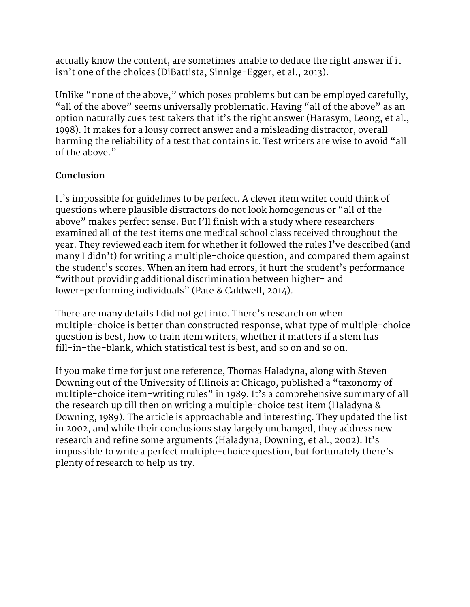actually know the content, are sometimes unable to deduce the right answer if it isn't one of the choices (DiBattista, Sinnige-Egger, et al., 2013).

Unlike "none of the above," which poses problems but can be employed carefully, "all of the above" seems universally problematic. Having "all of the above" as an option naturally cues test takers that it's the right answer (Harasym, Leong, et al., 1998). It makes for a lousy correct answer and a misleading distractor, overall harming the reliability of a test that contains it. Test writers are wise to avoid "all of the above."

# **Conclusion**

It's impossible for guidelines to be perfect. A clever item writer could think of questions where plausible distractors do not look homogenous or "all of the above" makes perfect sense. But I'll finish with a study where researchers examined all of the test items one medical school class received throughout the year. They reviewed each item for whether it followed the rules I've described (and many I didn't) for writing a multiple-choice question, and compared them against the student's scores. When an item had errors, it hurt the student's performance "without providing additional discrimination between higher- and lower-performing individuals" (Pate & Caldwell, 2014).

There are many details I did not get into. There's research on when multiple-choice is better than constructed response, what type of multiple-choice question is best, how to train item writers, whether it matters if a stem has fill-in-the-blank, which statistical test is best, and so on and so on.

If you make time for just one reference, Thomas Haladyna, along with Steven Downing out of the University of Illinois at Chicago, published a "taxonomy of multiple-choice item-writing rules" in 1989. It's a comprehensive summary of all the research up till then on writing a multiple-choice test item (Haladyna & Downing, 1989). The article is approachable and interesting. They updated the list in 2002, and while their conclusions stay largely unchanged, they address new research and refine some arguments (Haladyna, Downing, et al., 2002). It's impossible to write a perfect multiple-choice question, but fortunately there's plenty of research to help us try.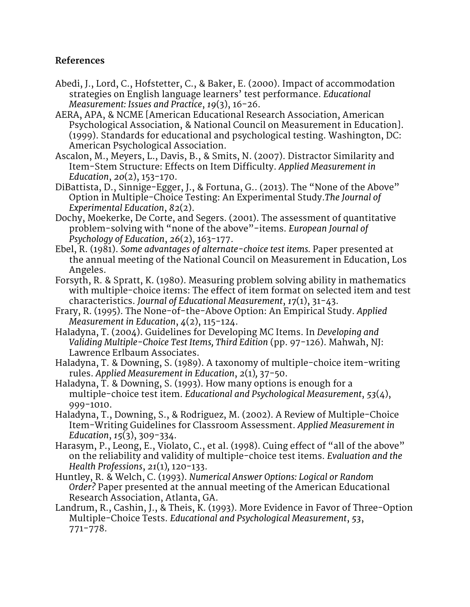#### **References**

- Abedi, J., Lord, C., Hofstetter, C., & Baker, E. (2000). Impact of accommodation strategies on English language learners' test performance. *Educational Measurement: Issues and Practice*, *19*(3), 16−26.
- AERA, APA, & NCME [American Educational Research Association, American Psychological Association, & National Council on Measurement in Education]. (1999). Standards for educational and psychological testing. Washington, DC: American Psychological Association.
- Ascalon, M., Meyers, L., Davis, B., & Smits, N. (2007). Distractor Similarity and Item-Stem Structure: Effects on Item Difficulty. *Applied Measurement in Education*, *20*(2), 153−170.
- DiBattista, D., Sinnige-Egger, J., & Fortuna, G.. (2013). The "None of the Above" Option in Multiple-Choice Testing: An Experimental Study.*The Journal of Experimental Education*, *82*(2).
- Dochy, Moekerke, De Corte, and Segers. (2001). The assessment of quantitative problem-solving with "none of the above"-items. *European Journal of Psychology of Education*, *26*(2), 163−177.
- Ebel, R. (1981). *Some advantages of alternate-choice test items.* Paper presented at the annual meeting of the National Council on Measurement in Education, Los Angeles.
- Forsyth, R. & Spratt, K. (1980). Measuring problem solving ability in mathematics with multiple-choice items: The effect of item format on selected item and test characteristics. *Journal of Educational Measurement*, *17*(1), 31−43.
- Frary, R. (1995). The None-of-the-Above Option: An Empirical Study. *Applied Measurement in Education*, *4*(2), 115−124.
- Haladyna, T. (2004). Guidelines for Developing MC Items. In *Developing and Validing Multiple-Choice Test Items, Third Edition* (pp. 97-126). Mahwah, NJ: Lawrence Erlbaum Associates.
- Haladyna, T. & Downing, S. (1989). A taxonomy of multiple-choice item-writing rules. *Applied Measurement in Education*, *2*(1)*,* 37−50.
- Haladyna, T. & Downing, S. (1993). How many options is enough for a multiple-choice test item. *Educational and Psychological Measurement*, *53*(4), 999−1010.
- Haladyna, T., Downing, S., & Rodriguez, M. (2002). A Review of Multiple-Choice Item-Writing Guidelines for Classroom Assessment. *Applied Measurement in Education*, *15*(3), 309−334.
- Harasym, P., Leong, E., Violato, C., et al. (1998). Cuing effect of "all of the above" on the reliability and validity of multiple-choice test items. *Evaluation and the Health Professions*, *21*(1)*,* 120−133.
- Huntley, R. & Welch, C. (1993). *Numerical Answer Options: Logical or Random Order?* Paper presented at the annual meeting of the American Educational Research Association, Atlanta, GA.
- Landrum, R., Cashin, J., & Theis, K. (1993). More Evidence in Favor of Three-Option Multiple-Choice Tests. *Educational and Psychological Measurement*, *53*, 771−778.